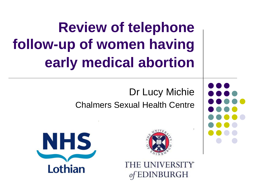**Review of telephone follow-up of women having early medical abortion**

> Dr Lucy Michie Chalmers Sexual Health Centre



THE UNIVERSITY DINBURGH



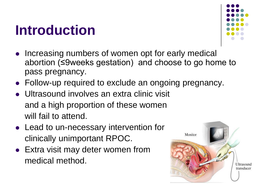#### **Introduction**



- Increasing numbers of women opt for early medical abortion (≤9weeks gestation) and choose to go home to pass pregnancy.
- Follow-up required to exclude an ongoing pregnancy.
- Ultrasound involves an extra clinic visit and a high proportion of these women will fail to attend.
- Lead to un-necessary intervention for clinically unimportant RPOC.
- Extra visit may deter women from medical method.

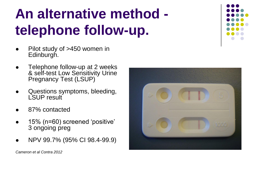# **An alternative method telephone follow-up.**

- Pilot study of >450 women in Edinburgh.
- Telephone follow-up at 2 weeks & self-test Low Sensitivity Urine Pregnancy Test (LSUP)
- Questions symptoms, bleeding, LSUP result
- 87% contacted
- 15% (n=60) screened 'positive' 3 ongoing preg
- NPV 99.7% (95% CI 98.4-99.9)

*Cameron et al Contra 2012*



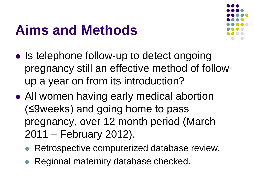### **Aims and Methods**



- Is telephone follow-up to detect ongoing pregnancy still an effective method of followup a year on from its introduction?
- All women having early medical abortion (≤9weeks) and going home to pass pregnancy, over 12 month period (March 2011 – February 2012).
	- Retrospective computerized database review.
	- Regional maternity database checked.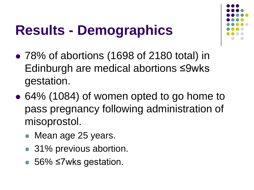# **Results - Demographics**



- 78% of abortions (1698 of 2180 total) in Edinburgh are medical abortions ≤9wks gestation.
- 64% (1084) of women opted to go home to pass pregnancy following administration of misoprostol.
	- Mean age 25 years.
	- 31% previous abortion.
	- 56% ≤7wks gestation.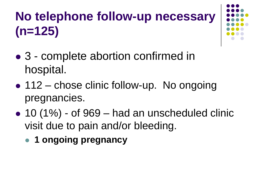## **No telephone follow-up necessary (n=125)**

- 3 complete abortion confirmed in hospital.
- 112 chose clinic follow-up. No ongoing pregnancies.
- $\bullet$  10 (1%) of 969 had an unscheduled clinic visit due to pain and/or bleeding.
	- **1 ongoing pregnancy**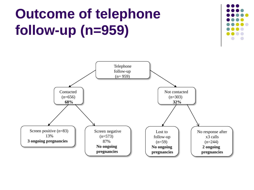## **Outcome of telephone follow-up (n=959)**



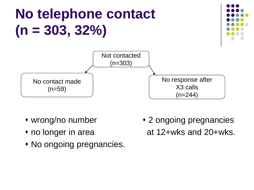# **No telephone contact (n = 303, 32%)**





- 
- 
- No ongoing pregnancies.
- wrong/no number 2 ongoing pregnancies • no longer in area **at 12+wks and 20+wks.**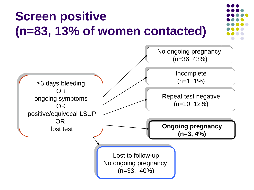